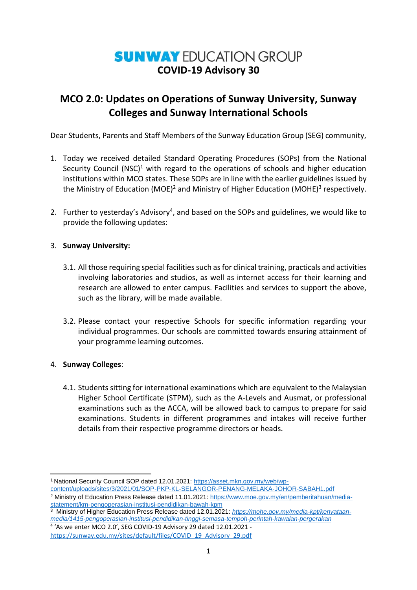# **SUNWAY EDUCATION GROUP COVID-19 Advisory 30**

## **MCO 2.0: Updates on Operations of Sunway University, Sunway Colleges and Sunway International Schools**

Dear Students, Parents and Staff Members of the Sunway Education Group (SEG) community,

- 1. Today we received detailed Standard Operating Procedures (SOPs) from the National Security Council (NSC)<sup>1</sup> with regard to the operations of schools and higher education institutions within MCO states. These SOPs are in line with the earlier guidelines issued by the Ministry of Education (MOE)<sup>2</sup> and Ministry of Higher Education (MOHE)<sup>3</sup> respectively.
- 2. Further to yesterday's Advisory<sup>4</sup>, and based on the SOPs and guidelines, we would like to provide the following updates:

### 3. **Sunway University:**

- 3.1. All those requiring special facilities such as for clinical training, practicals and activities involving laboratories and studios, as well as internet access for their learning and research are allowed to enter campus. Facilities and services to support the above, such as the library, will be made available.
- 3.2. Please contact your respective Schools for specific information regarding your individual programmes. Our schools are committed towards ensuring attainment of your programme learning outcomes.

### 4. **Sunway Colleges**:

4.1. Students sitting for international examinations which are equivalent to the Malaysian Higher School Certificate (STPM), such as the A-Levels and Ausmat, or professional examinations such as the ACCA, will be allowed back to campus to prepare for said examinations. Students in different programmes and intakes will receive further details from their respective programme directors or heads.

**<sup>.</sup>** <sup>1</sup> National Security Council SOP dated 12.01.2021[: https://asset.mkn.gov.my/web/wp](https://asset.mkn.gov.my/web/wp-content/uploads/sites/3/2021/01/SOP-PKP-KL-SELANGOR-PENANG-MELAKA-JOHOR-SABAH1.pdf)[content/uploads/sites/3/2021/01/SOP-PKP-KL-SELANGOR-PENANG-MELAKA-JOHOR-SABAH1.pdf](https://asset.mkn.gov.my/web/wp-content/uploads/sites/3/2021/01/SOP-PKP-KL-SELANGOR-PENANG-MELAKA-JOHOR-SABAH1.pdf)

<sup>2</sup> Ministry of Education Press Release dated 11.01.2021: [https://www.moe.gov.my/en/pemberitahuan/media](https://www.moe.gov.my/en/pemberitahuan/media-statement/km-pengoperasian-institusi-pendidikan-bawah-kpm)[statement/km-pengoperasian-institusi-pendidikan-bawah-kpm](https://www.moe.gov.my/en/pemberitahuan/media-statement/km-pengoperasian-institusi-pendidikan-bawah-kpm)

<sup>3</sup> Ministry of Higher Education Press Release dated 12.01.2021: *[https://mohe.gov.my/media-kpt/kenyataan](https://mohe.gov.my/media-kpt/kenyataan-media/1415-pengoperasian-institusi-pendidikan-tinggi-semasa-tempoh-perintah-kawalan-pergerakan)[media/1415-pengoperasian-institusi-pendidikan-tinggi-semasa-tempoh-perintah-kawalan-pergerakan](https://mohe.gov.my/media-kpt/kenyataan-media/1415-pengoperasian-institusi-pendidikan-tinggi-semasa-tempoh-perintah-kawalan-pergerakan)* 4 'As we enter MCO 2.0', SEG COVID-19 Advisory 29 dated 12.01.2021 -

[https://sunway.edu.my/sites/default/files/COVID\\_19\\_Advisory\\_29.pdf](https://sunway.edu.my/sites/default/files/COVID_19_Advisory_29.pdf)